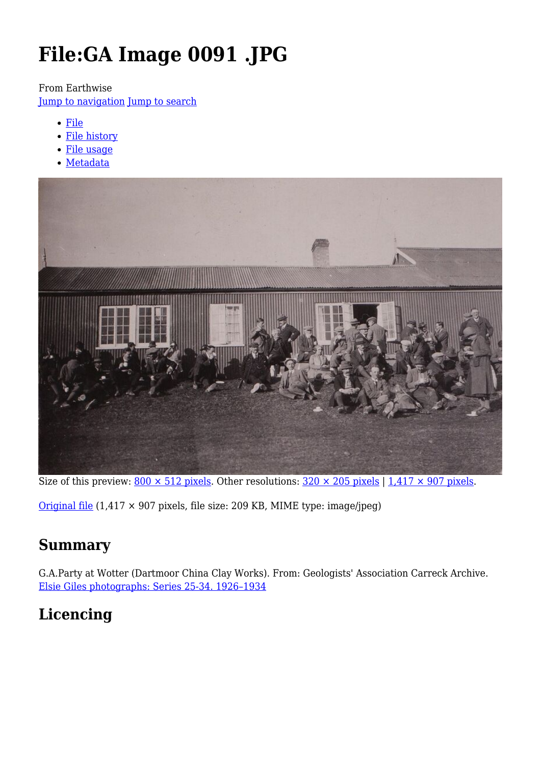# **File:GA Image 0091 .JPG**

#### From Earthwise

[Jump to navigation](#page--1-0) [Jump to search](#page--1-0)

- [File](#page--1-0)
- [File history](#page--1-0)
- [File usage](#page--1-0)
- [Metadata](#page--1-0)



Size of this preview:  $800 \times 512$  pixels. Other resolutions:  $320 \times 205$  pixels |  $1,417 \times 907$  pixels.

[Original file](http://earthwise.bgs.ac.uk/images/f/fb/GA_Image_0091_.JPG) (1,417 × 907 pixels, file size: 209 KB, MIME type: image/jpeg)

## **Summary**

G.A.Party at Wotter (Dartmoor China Clay Works). From: Geologists' Association Carreck Archive. [Elsie Giles photographs: Series 25-34. 1926–1934](http://pubs.bgs.ac.uk/publications.html?pubID=GA148#v=d&z=2&n=5&i=GA148_0003.jp2&y=366&x=358)

# **Licencing**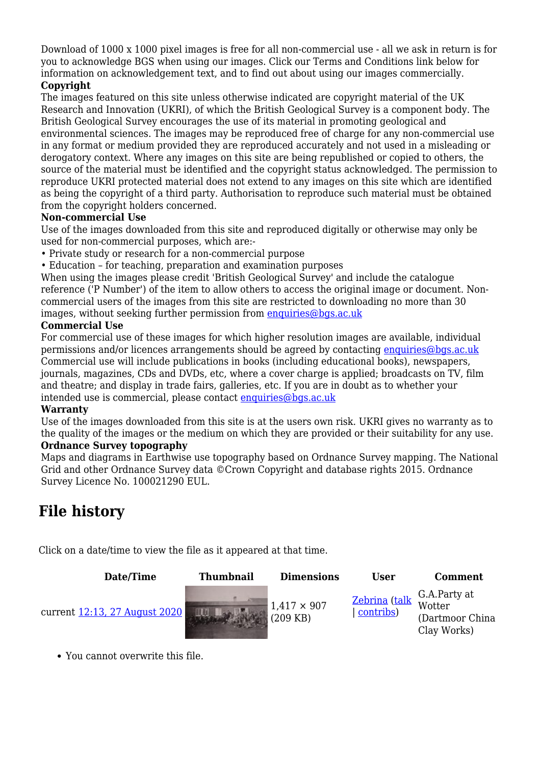Download of 1000 x 1000 pixel images is free for all non-commercial use - all we ask in return is for you to acknowledge BGS when using our images. Click our Terms and Conditions link below for information on acknowledgement text, and to find out about using our images commercially.

#### **Copyright**

The images featured on this site unless otherwise indicated are copyright material of the UK Research and Innovation (UKRI), of which the British Geological Survey is a component body. The British Geological Survey encourages the use of its material in promoting geological and environmental sciences. The images may be reproduced free of charge for any non-commercial use in any format or medium provided they are reproduced accurately and not used in a misleading or derogatory context. Where any images on this site are being republished or copied to others, the source of the material must be identified and the copyright status acknowledged. The permission to reproduce UKRI protected material does not extend to any images on this site which are identified as being the copyright of a third party. Authorisation to reproduce such material must be obtained from the copyright holders concerned.

#### **Non-commercial Use**

Use of the images downloaded from this site and reproduced digitally or otherwise may only be used for non-commercial purposes, which are:-

- Private study or research for a non-commercial purpose
- Education for teaching, preparation and examination purposes

When using the images please credit 'British Geological Survey' and include the catalogue reference ('P Number') of the item to allow others to access the original image or document. Noncommercial users of the images from this site are restricted to downloading no more than 30 images, without seeking further permission from [enquiries@bgs.ac.uk](mailto:enquiries@bgs.ac.uk)

#### **Commercial Use**

For commercial use of these images for which higher resolution images are available, individual permissions and/or licences arrangements should be agreed by contacting [enquiries@bgs.ac.uk](mailto:enquiries@bgs.ac.uk) Commercial use will include publications in books (including educational books), newspapers, journals, magazines, CDs and DVDs, etc, where a cover charge is applied; broadcasts on TV, film and theatre; and display in trade fairs, galleries, etc. If you are in doubt as to whether your intended use is commercial, please contact [enquiries@bgs.ac.uk](mailto:enquiries@bgs.ac.uk)

#### **Warranty**

Use of the images downloaded from this site is at the users own risk. UKRI gives no warranty as to the quality of the images or the medium on which they are provided or their suitability for any use. **Ordnance Survey topography**

Maps and diagrams in Earthwise use topography based on Ordnance Survey mapping. The National Grid and other Ordnance Survey data ©Crown Copyright and database rights 2015. Ordnance Survey Licence No. 100021290 EUL.

# **File history**

Click on a date/time to view the file as it appeared at that time.



You cannot overwrite this file.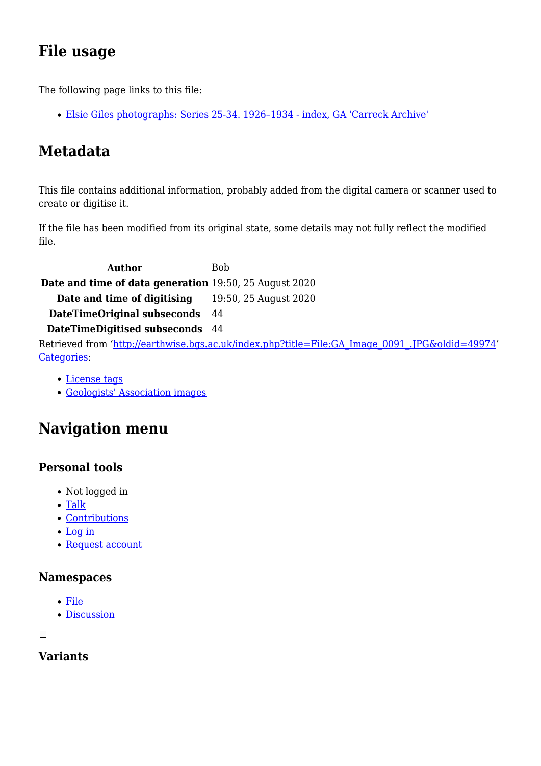# **File usage**

The following page links to this file:

[Elsie Giles photographs: Series 25-34. 1926–1934 - index, GA 'Carreck Archive'](http://earthwise.bgs.ac.uk/index.php/Elsie_Giles_photographs:_Series_25-34._1926%E2%80%931934_-_index,_GA_%27Carreck_Archive%27)

# **Metadata**

This file contains additional information, probably added from the digital camera or scanner used to create or digitise it.

If the file has been modified from its original state, some details may not fully reflect the modified file.

**Author** Bob **Date and time of data generation** 19:50, 25 August 2020 **Date and time of digitising** 19:50, 25 August 2020 **DateTimeOriginal subseconds** 44 **DateTimeDigitised subseconds** 44 Retrieved from ['http://earthwise.bgs.ac.uk/index.php?title=File:GA\\_Image\\_0091\\_.JPG&oldid=49974](http://earthwise.bgs.ac.uk/index.php?title=File:GA_Image_0091_.JPG&oldid=49974)' [Categories:](http://earthwise.bgs.ac.uk/index.php/Special:Categories)

- [License tags](http://earthwise.bgs.ac.uk/index.php/Category:License_tags)
- [Geologists' Association images](http://earthwise.bgs.ac.uk/index.php/Category:Geologists%27_Association_images)

# **Navigation menu**

### **Personal tools**

- Not logged in
- [Talk](http://earthwise.bgs.ac.uk/index.php/Special:MyTalk)
- [Contributions](http://earthwise.bgs.ac.uk/index.php/Special:MyContributions)
- [Log in](http://earthwise.bgs.ac.uk/index.php?title=Special:UserLogin&returnto=File%3AGA+Image+0091+.JPG&returntoquery=action%3Dmpdf)
- [Request account](http://earthwise.bgs.ac.uk/index.php/Special:RequestAccount)

#### **Namespaces**

- [File](http://earthwise.bgs.ac.uk/index.php/File:GA_Image_0091_.JPG)
- [Discussion](http://earthwise.bgs.ac.uk/index.php?title=File_talk:GA_Image_0091_.JPG&action=edit&redlink=1)

 $\Box$ 

### **Variants**